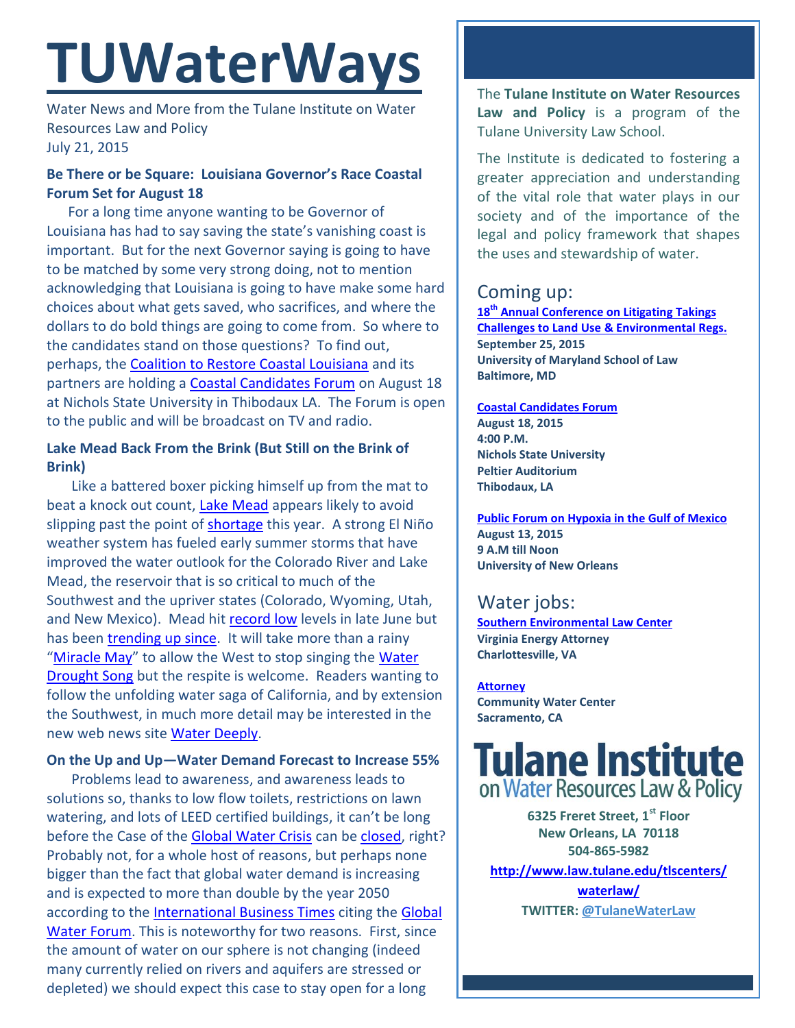# **TUWaterWays**

Water News and More from the Tulane Institute on Water Resources Law and Policy July 21, 2015

# **Be There or be Square: Louisiana Governor's Race Coastal Forum Set for August 18**

 For a long time anyone wanting to be Governor of Louisiana has had to say saving the state's vanishing coast is important. But for the next Governor saying is going to have to be matched by some very strong doing, not to mention acknowledging that Louisiana is going to have make some hard choices about what gets saved, who sacrifices, and where the dollars to do bold things are going to come from. So where to the candidates stand on those questions? To find out, perhaps, the [Coalition to Restore Coastal Louisiana](http://crcl.org/) and its partners are holding a [Coastal Candidates Forum](http://crcl.org/candidate-forum.html) on August 18 at Nichols State University in Thibodaux LA. The Forum is open to the public and will be broadcast on TV and radio.

# **Lake Mead Back From the Brink (But Still on the Brink of Brink)**

 Like a battered boxer picking himself up from the mat to beat a knock out count, [Lake Mead](https://en.wikipedia.org/wiki/Lake_Mead) appears likely to avoid slipping past the point of [shortage](http://www.snwa.com/ws/river_surplus.html) this year. A strong El Niño weather system has fueled early summer storms that have improved the water outlook for the Colorado River and Lake Mead, the reservoir that is so critical to much of the Southwest and the upriver states (Colorado, Wyoming, Utah, and New Mexico). Mead hit [record low](http://www.usatoday.com/story/news/nation/2015/06/24/lake-mead-low-water-shortage/29202475/) levels in late June but has bee[n trending up since.](http://lakemead.water-data.com/) It will take more than a rainy "[Miracle May](http://www.latimes.com/local/california/la-me-may-miracle-drought-20150717-story.html#page=1)" to allow the West to stop singing the Water [Drought Song](https://www.youtube.com/watch?v=WBv2zZaPj00) but the respite is welcome. Readers wanting to follow the unfolding water saga of California, and by extension the Southwest, in much more detail may be interested in the new web news site [Water Deeply.](http://www.waterdeeply.org/)

### **On the Up and Up—Water Demand Forecast to Increase 55%**

 Problems lead to awareness, and awareness leads to solutions so, thanks to low flow toilets, restrictions on lawn watering, and lots of LEED certified buildings, it can't be long before the Case of the [Global Water Crisis](http://www.nationalobserver.com/2015/06/27/news/global-water-crisis-looms-experts-discuss-solutions-canada) can be [closed,](http://www.shutterstock.com/video/clip-4752395-stock-footage-close-up-of-person-stamping-case-closed-on-file.html) right? Probably not, for a whole host of reasons, but perhaps none bigger than the fact that global water demand is increasing and is expected to more than double by the year 2050 according to the [International Business Times](http://www.ibtimes.com.au/water-demand-increase-55-globally-2050-1456188) citing the [Global](http://www.globalwaterforum.org/2012/05/21/water-outlook-to-2050-the-oecd-calls-for-early-and-strategic-action/)  [Water Forum.](http://www.globalwaterforum.org/2012/05/21/water-outlook-to-2050-the-oecd-calls-for-early-and-strategic-action/) This is noteworthy for two reasons. First, since the amount of water on our sphere is not changing (indeed many currently relied on rivers and aquifers are stressed or depleted) we should expect this case to stay open for a long

The **Tulane Institute on Water Resources Law and Policy** is a program of the Tulane University Law School.

The Institute is dedicated to fostering a greater appreciation and understanding of the vital role that water plays in our society and of the importance of the legal and policy framework that shapes the uses and stewardship of water.

# Coming up:

**18th [Annual Conference on Litigating Takings](http://forms.vermontlaw.edu/elc/landuse/Takings15/)  [Challenges to Land Use & Environmental Regs.](http://forms.vermontlaw.edu/elc/landuse/Takings15/) September 25, 2015 University of Maryland School of Law Baltimore, MD**

#### **[Coastal Candidates Forum](http://crcl.org/candidate-forum.html) August 18, 2015 4:00 P.M. Nichols State University Peltier Auditorium Thibodaux, LA**

**[Public Forum on Hypoxia in the Gulf of Mexico](http://www.law.tulane.edu/uploadedFiles/Institutes_and_Centers/Water_Resources_Law_and_Policy/Content/Public%20Workshop%20Gulf%20Hypoxia%208-13-15.pdf) August 13, 2015 9 A.M till Noon University of New Orleans**

# Water jobs:

**[Southern Environmental Law Center](http://vcnva.org/index.php/resources/job-opportunities?limitstart=0) Virginia Energy Attorney Charlottesville, VA**

**[Attorney](http://www.communitywatercenter.org/career_opportunities) Community Water Center Sacramento, CA**

# **Tulane Institute** on Water Resources Law & Policy

**6325 Freret Street, 1st Floor New Orleans, LA 70118 504-865-5982 [http://www.law.tulane.edu/tlscenters/](http://www.law.tulane.edu/tlscenters/waterlaw/) [waterlaw/](http://www.law.tulane.edu/tlscenters/waterlaw/) TWITTER: [@TulaneWaterLaw](http://www.twitter.com/TulaneWaterLaw)**